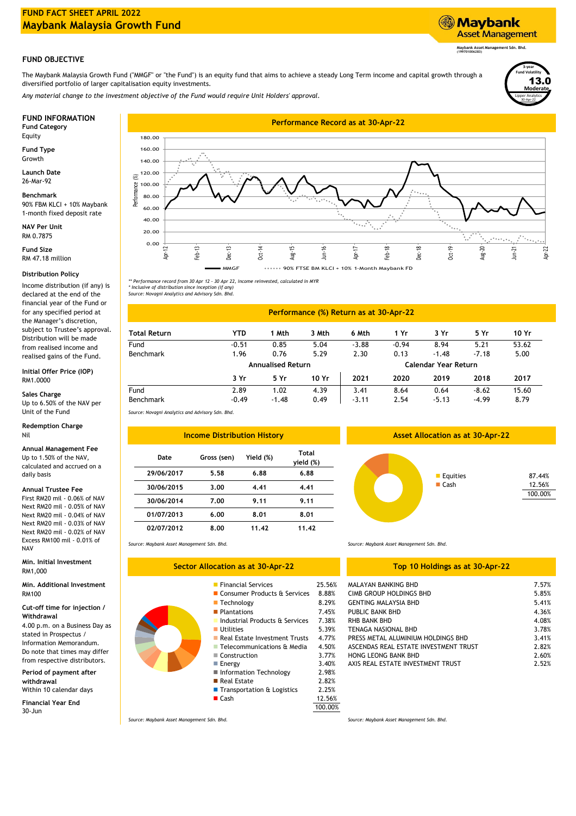# **FUND FACT SHEET APRIL 2022 Maybank Malaysia Growth Fund**

### **FUND OBJECTIVE**

The Maybank Malaysia Growth Fund ("MMGF" or "the Fund") is an equity fund that aims to achieve a steady Long Term income and capital growth through a diversified portfolio of larger capitalisation equity investments.

*Any material change to the investment objective of the Fund would require Unit Holders' approval.*

Equity

**Fund Type** Growth

**Launch Date** 26-Mar-92

### **Benchmark**

90% FBM KLCI + 10% Maybank 1-month fixed deposit rate

**NAV Per Unit** RM 0.7875

RM 47.18 million **Fund Size**

### **Distribution Policy**

Income distribution (if any) is declared at the end of the financial year of the Fund or for any specified period at the Manager's discretion, subject to Trustee's approval. Distribution will be made from realised income and realised gains of the Fund.

#### **Initial Offer Price (IOP)** RM1.0000

**Sales Charge** Up to 6.50% of the NAV per

# **Redemption Charge** Unit of the Fund

# Nil

**Annual Management Fee** Up to 1.50% of the NAV, calculated and accrued on a

# **Annual Trustee Fee**

daily basis

First RM20 mil - 0.06% of NAV Next RM20 mil - 0.05% of NAV Next RM20 mil - 0.04% of NAV Next RM20 mil - 0.03% of NAV Next RM20 mil - 0.02% of NAV Excess RM100 mil - 0.01% of NAV

RM1,000 **Min. Initial Investment**

### **Min. Additional Investment** RM100

# **Cut-off time for injection /**

**Withdrawal** 4.00 p.m. on a Business Day as stated in Prospectus / Information Memorandum. Do note that times may differ from respective distributors.

**Period of payment after withdrawal** Within 10 calendar days

**Financial Year End** 30-Jun



*\*\* Performance record from 30 Apr 12 - 30 Apr 22, income reinvested, calculated in MYR*

*\* Inclusive of distribution since inception (if any) Source: Novagni Analytics and Advisory Sdn. Bhd.*

|                     |            |                          |       | <b>Performance (%) Return as at 30-Apr-22</b> |         |                      |         |       |
|---------------------|------------|--------------------------|-------|-----------------------------------------------|---------|----------------------|---------|-------|
| <b>Total Return</b> | <b>YTD</b> | 1 Mth                    | 3 Mth | 6 Mth                                         | 1 Yr    | 3 Yr                 | 5 Yr    | 10 Yr |
| Fund                | $-0.51$    | 0.85                     | 5.04  | $-3.88$                                       | $-0.94$ | 8.94                 | 5.21    | 53.62 |
| <b>Benchmark</b>    | 1.96       | 0.76                     | 5.29  | 2.30                                          | 0.13    | $-1.48$              | $-7.18$ | 5.00  |
|                     |            | <b>Annualised Return</b> |       |                                               |         | Calendar Year Return |         |       |
|                     | 3 Yr       | 5 Yr                     | 10 Yr | 2021                                          | 2020    | 2019                 | 2018    | 2017  |
| Fund                | 2.89       | 1.02                     | 4.39  | 3.41                                          | 8.64    | 0.64                 | $-8.62$ | 15.60 |
| <b>Benchmark</b>    | $-0.49$    | $-1.48$                  | 0.49  | $-3.11$                                       | 2.54    | $-5.13$              | $-4.99$ | 8.79  |

*Source: Novagni Analytics and Advisory Sdn. Bhd.*

| <b>Income Distribution History</b> |             |           |                    |  |  |
|------------------------------------|-------------|-----------|--------------------|--|--|
| Date                               | Gross (sen) | Yield (%) | Total<br>yield (%) |  |  |
| 29/06/2017                         | 5.58        | 6.88      | 6.88               |  |  |
| 30/06/2015                         | 3.00        | 4.41      | 4.41               |  |  |
| 30/06/2014                         | 7.00        | 9.11      | 9.11               |  |  |
| 01/07/2013                         | 6.00        | 8.01      | 8.01               |  |  |
| 02/07/2012                         | 8.00        | 11.42     | 11.42              |  |  |

*Source: Maybank Asset Management Sdn. Bhd. Source: Maybank Asset Management Sdn. Bhd.*

### **Sector Allocation as at 30-Apr-22**

- Financial Services 25.56%
- 
- Technology 8.29%
- Plantations 7.45%
- Industrial Products & Services
- **Utilities**
- Real Estate Investment Trusts
- Telecommunications & Media 4.50% Construction
- $\blacksquare$  Energy
- Information Technology 2.98%
- Real Estate 2.82%
- Transportation & Logistics 2.25%
- Cash 12.56%

*Source: Maybank Asset Management Sdn. Bhd. Source: Maybank Asset Management Sdn. Bhd.*

| cation as at 30-Apr-22         |        | Top 10 Holdings as at 30-Apr-22 |       |  |
|--------------------------------|--------|---------------------------------|-------|--|
| <b>Financial Services</b>      | 25.56% | MALAYAN BANKING BHD             | 7.57% |  |
| ■ Consumer Products & Services | 8.88%  | CIMB GROUP HOLDINGS BHD         | 5.85% |  |
| $\blacksquare$ Technology      | 8.29%  | <b>GENTING MALAYSIA BHD</b>     | 5.41% |  |
| <b>Plantations</b>             | 7.45%  | PUBLIC BANK BHD                 | 4.36% |  |
| Industrial Products & Services | 7.38%  | RHB BANK BHD                    | 4.08% |  |

| TENAGA NASIONAL BHD                   | 3.78% |
|---------------------------------------|-------|
| PRESS METAL ALUMINIUM HOLDINGS BHD    | 3.41% |
| ASCENDAS REAL ESTATE INVESTMENT TRUST | 2.82% |
| HONG LEONG BANK BHD                   | 2.60% |
| AXIS REAL ESTATE INVESTMENT TRUST     | 2.52% |

100.00%

3.77%

4.77% 7.38%

5.39%

### **Asset Allocation as at 30-Apr-22**



Lipper Analytics

30-Apr-22

**3-year Fund Volatility Moderate** 13.0

**Maybank Asset Management Sdn. Bhd. (199701006283)**

**Asset Management** 

**Maybank**